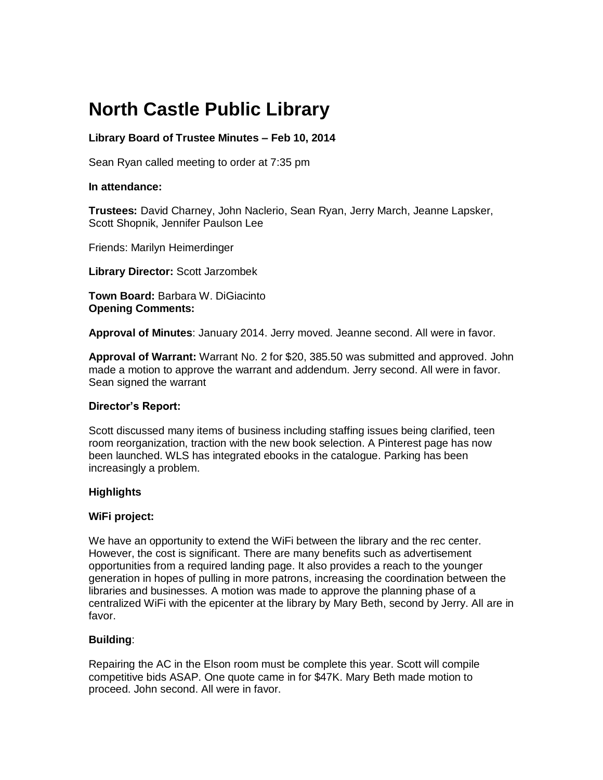# **North Castle Public Library**

# **Library Board of Trustee Minutes – Feb 10, 2014**

Sean Ryan called meeting to order at 7:35 pm

## **In attendance:**

**Trustees:** David Charney, John Naclerio, Sean Ryan, Jerry March, Jeanne Lapsker, Scott Shopnik, Jennifer Paulson Lee

Friends: Marilyn Heimerdinger

**Library Director:** Scott Jarzombek

**Town Board:** [Barbara W. DiGiacinto](http://www.northcastleny.com/users/bdigiacinto/contact) **Opening Comments:** 

**Approval of Minutes**: January 2014. Jerry moved. Jeanne second. All were in favor.

**Approval of Warrant:** Warrant No. 2 for \$20, 385.50 was submitted and approved. John made a motion to approve the warrant and addendum. Jerry second. All were in favor. Sean signed the warrant

### **Director's Report:**

Scott discussed many items of business including staffing issues being clarified, teen room reorganization, traction with the new book selection. A Pinterest page has now been launched. WLS has integrated ebooks in the catalogue. Parking has been increasingly a problem.

### **Highlights**

### **WiFi project:**

We have an opportunity to extend the WiFi between the library and the rec center. However, the cost is significant. There are many benefits such as advertisement opportunities from a required landing page. It also provides a reach to the younger generation in hopes of pulling in more patrons, increasing the coordination between the libraries and businesses. A motion was made to approve the planning phase of a centralized WiFi with the epicenter at the library by Mary Beth, second by Jerry. All are in favor.

# **Building**:

Repairing the AC in the Elson room must be complete this year. Scott will compile competitive bids ASAP. One quote came in for \$47K. Mary Beth made motion to proceed. John second. All were in favor.